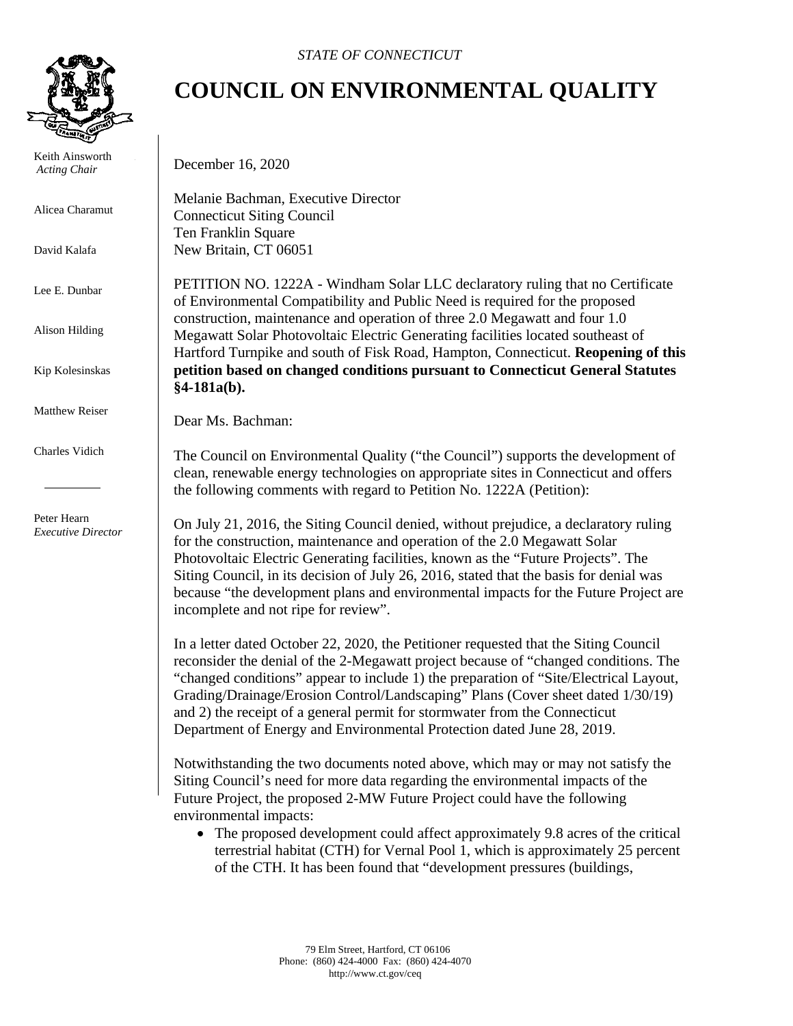

 Keith Ainsworth  *Acting Chair*

Alicea Charamut

David Kalafa

Lee E. Dunbar

Alison Hilding

Kip Kolesinskas

Matthew Reiser

Charles Vidich

 Peter Hearn *Executive Director*

## **COUNCIL ON ENVIRONMENTAL QUALITY**

December 16, 2020

Melanie Bachman, Executive Director Connecticut Siting Council Ten Franklin Square New Britain, CT 06051

PETITION NO. 1222A - Windham Solar LLC declaratory ruling that no Certificate of Environmental Compatibility and Public Need is required for the proposed construction, maintenance and operation of three 2.0 Megawatt and four 1.0 Megawatt Solar Photovoltaic Electric Generating facilities located southeast of Hartford Turnpike and south of Fisk Road, Hampton, Connecticut. **Reopening of this petition based on changed conditions pursuant to Connecticut General Statutes §4-181a(b).**

Dear Ms. Bachman:

The Council on Environmental Quality ("the Council") supports the development of clean, renewable energy technologies on appropriate sites in Connecticut and offers the following comments with regard to Petition No. 1222A (Petition):

On July 21, 2016, the Siting Council denied, without prejudice, a declaratory ruling for the construction, maintenance and operation of the 2.0 Megawatt Solar Photovoltaic Electric Generating facilities, known as the "Future Projects". The Siting Council, in its decision of July 26, 2016, stated that the basis for denial was because "the development plans and environmental impacts for the Future Project are incomplete and not ripe for review".

In a letter dated October 22, 2020, the Petitioner requested that the Siting Council reconsider the denial of the 2-Megawatt project because of "changed conditions. The "changed conditions" appear to include 1) the preparation of "Site/Electrical Layout, Grading/Drainage/Erosion Control/Landscaping" Plans (Cover sheet dated 1/30/19) and 2) the receipt of a general permit for stormwater from the Connecticut Department of Energy and Environmental Protection dated June 28, 2019.

Notwithstanding the two documents noted above, which may or may not satisfy the Siting Council's need for more data regarding the environmental impacts of the Future Project, the proposed 2-MW Future Project could have the following environmental impacts:

• The proposed development could affect approximately 9.8 acres of the critical terrestrial habitat (CTH) for Vernal Pool 1, which is approximately 25 percent of the CTH. It has been found that "development pressures (buildings,